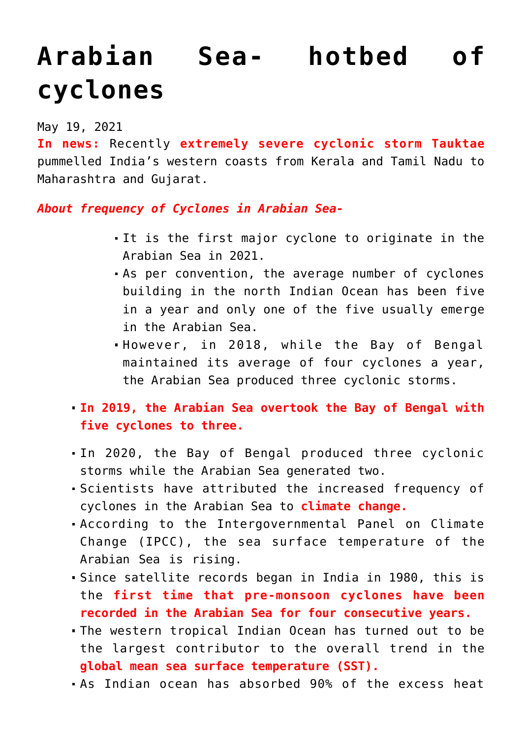## **[Arabian Sea- hotbed of](https://journalsofindia.com/arabian-sea-hotbed-of-cyclones/) [cyclones](https://journalsofindia.com/arabian-sea-hotbed-of-cyclones/)**

## May 19, 2021

**In news:** Recently **extremely severe cyclonic storm Tauktae** pummelled India's western coasts from Kerala and Tamil Nadu to Maharashtra and Gujarat.

*About frequency of Cyclones in Arabian Sea-*

- It is the first major cyclone to originate in the Arabian Sea in 2021.
- As per convention, the average number of cyclones building in the north Indian Ocean has been five in a year and only one of the five usually emerge in the Arabian Sea.
- However, in 2018, while the Bay of Bengal maintained its average of four cyclones a year, the Arabian Sea produced three cyclonic storms.
- **In 2019, the Arabian Sea overtook the Bay of Bengal with five cyclones to three.**
- In 2020, the Bay of Bengal produced three cyclonic storms while the Arabian Sea generated two.
- Scientists have attributed the increased frequency of cyclones in the Arabian Sea to **climate change.**
- According to the Intergovernmental Panel on Climate Change (IPCC), the sea surface temperature of the Arabian Sea is rising.
- Since satellite records began in India in 1980, this is the **first time that pre-monsoon cyclones have been recorded in the Arabian Sea for four consecutive years.**
- The western tropical Indian Ocean has turned out to be the largest contributor to the overall trend in the **global mean sea surface temperature (SST).**
- As Indian ocean has absorbed 90% of the excess heat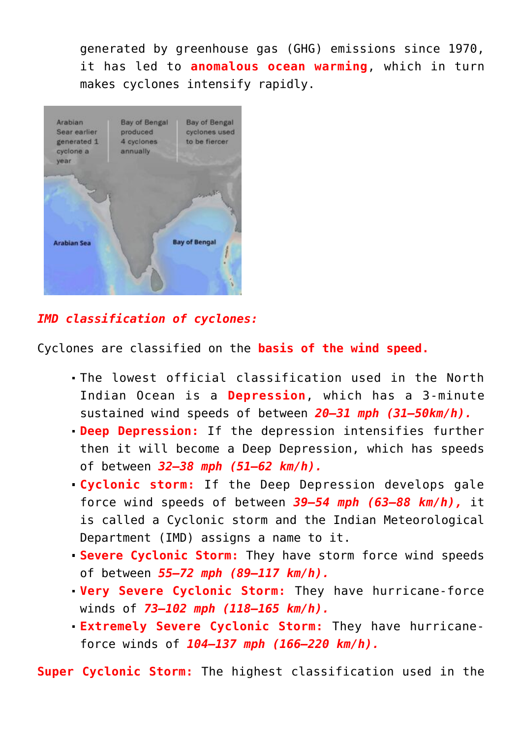generated by greenhouse gas (GHG) emissions since 1970, it has led to **anomalous ocean warming**, which in turn makes cyclones intensify rapidly.



## *IMD classification of cyclones:*

Cyclones are classified on the **basis of the wind speed.**

- The lowest official classification used in the North Indian Ocean is a **Depression**, which has a 3-minute sustained wind speeds of between *20–31 mph (31–50km/h).*
- **Deep Depression:** If the depression intensifies further then it will become a Deep Depression, which has speeds of between *32–38 mph (51–62 km/h).*
- **Cyclonic storm:** If the Deep Depression develops gale force wind speeds of between *39–54 mph (63–88 km/h),* it is called a Cyclonic storm and the Indian Meteorological Department (IMD) assigns a name to it.
- **Severe Cyclonic Storm:** They have storm force wind speeds of between *55–72 mph (89–117 km/h).*
- **Very Severe Cyclonic Storm:** They have hurricane-force winds of *73–102 mph (118–165 km/h).*
- **Extremely Severe Cyclonic Storm:** They have hurricaneforce winds of *104–137 mph (166–220 km/h).*

**Super Cyclonic Storm:** The highest classification used in the